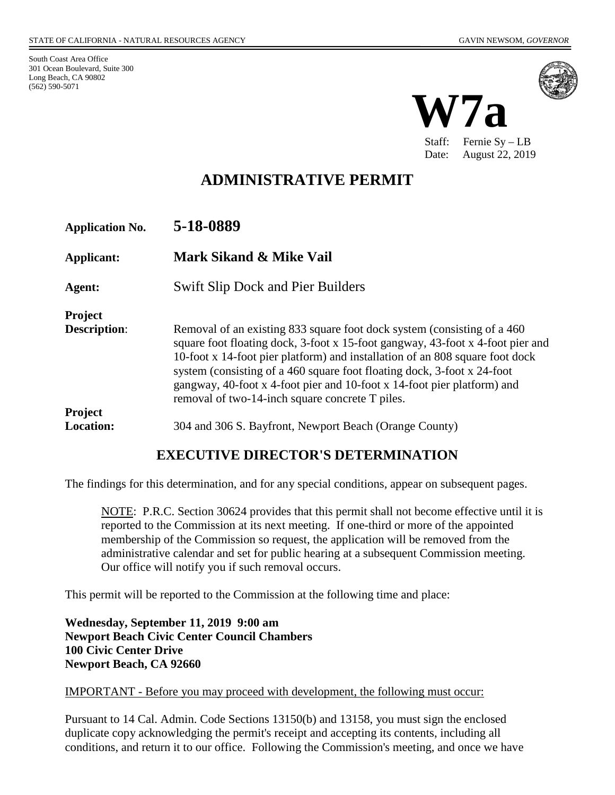South Coast Area Office 301 Ocean Boulevard, Suite 300 Long Beach, CA 90802 (562) 590-5071



Staff: Fernie Sy – LB Date: August 22, 2019

# **ADMINISTRATIVE PERMIT**

| <b>Application No.</b>                                  | 5-18-0889                                                                                                                                                                                                                                                                                                                                                                                                                                           |
|---------------------------------------------------------|-----------------------------------------------------------------------------------------------------------------------------------------------------------------------------------------------------------------------------------------------------------------------------------------------------------------------------------------------------------------------------------------------------------------------------------------------------|
| <b>Applicant:</b>                                       | <b>Mark Sikand &amp; Mike Vail</b>                                                                                                                                                                                                                                                                                                                                                                                                                  |
| Agent:                                                  | <b>Swift Slip Dock and Pier Builders</b>                                                                                                                                                                                                                                                                                                                                                                                                            |
| <b>Project</b><br><b>Description:</b><br><b>Project</b> | Removal of an existing 833 square foot dock system (consisting of a 460)<br>square foot floating dock, 3-foot x 15-foot gangway, 43-foot x 4-foot pier and<br>10-foot x 14-foot pier platform) and installation of an 808 square foot dock<br>system (consisting of a 460 square foot floating dock, 3-foot x 24-foot<br>gangway, 40-foot x 4-foot pier and 10-foot x 14-foot pier platform) and<br>removal of two-14-inch square concrete T piles. |
| <b>Location:</b>                                        | 304 and 306 S. Bayfront, Newport Beach (Orange County)                                                                                                                                                                                                                                                                                                                                                                                              |

## **EXECUTIVE DIRECTOR'S DETERMINATION**

The findings for this determination, and for any special conditions, appear on subsequent pages.

NOTE: P.R.C. Section 30624 provides that this permit shall not become effective until it is reported to the Commission at its next meeting. If one-third or more of the appointed membership of the Commission so request, the application will be removed from the administrative calendar and set for public hearing at a subsequent Commission meeting. Our office will notify you if such removal occurs.

This permit will be reported to the Commission at the following time and place:

**Wednesday, September 11, 2019 9:00 am Newport Beach Civic Center Council Chambers 100 Civic Center Drive Newport Beach, CA 92660**

#### IMPORTANT - Before you may proceed with development, the following must occur:

Pursuant to 14 Cal. Admin. Code Sections 13150(b) and 13158, you must sign the enclosed duplicate copy acknowledging the permit's receipt and accepting its contents, including all conditions, and return it to our office. Following the Commission's meeting, and once we have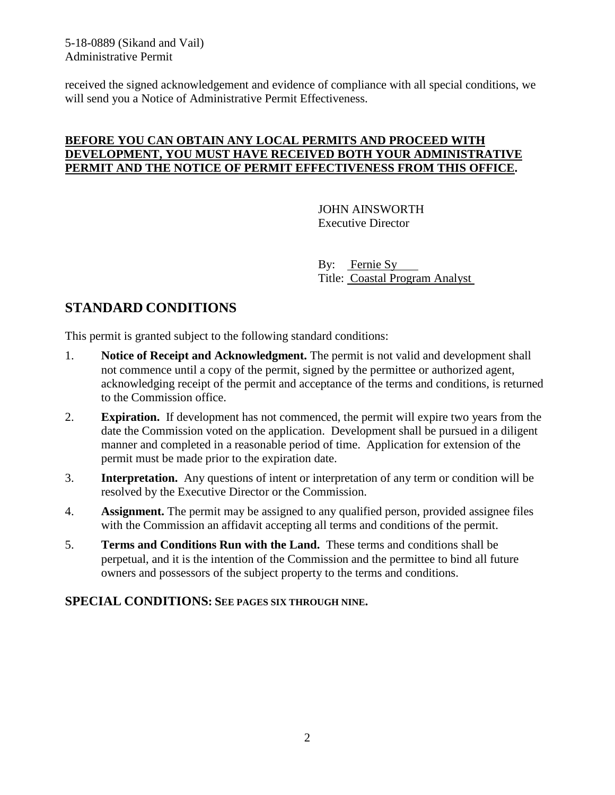5-18-0889 (Sikand and Vail) Administrative Permit

received the signed acknowledgement and evidence of compliance with all special conditions, we will send you a Notice of Administrative Permit Effectiveness.

### **BEFORE YOU CAN OBTAIN ANY LOCAL PERMITS AND PROCEED WITH DEVELOPMENT, YOU MUST HAVE RECEIVED BOTH YOUR ADMINISTRATIVE PERMIT AND THE NOTICE OF PERMIT EFFECTIVENESS FROM THIS OFFICE.**

JOHN AINSWORTH Executive Director

By: Fernie Sy Title: Coastal Program Analyst

# **STANDARD CONDITIONS**

This permit is granted subject to the following standard conditions:

- 1. **Notice of Receipt and Acknowledgment.** The permit is not valid and development shall not commence until a copy of the permit, signed by the permittee or authorized agent, acknowledging receipt of the permit and acceptance of the terms and conditions, is returned to the Commission office.
- 2. **Expiration.** If development has not commenced, the permit will expire two years from the date the Commission voted on the application. Development shall be pursued in a diligent manner and completed in a reasonable period of time. Application for extension of the permit must be made prior to the expiration date.
- 3. **Interpretation.** Any questions of intent or interpretation of any term or condition will be resolved by the Executive Director or the Commission.
- 4. **Assignment.** The permit may be assigned to any qualified person, provided assignee files with the Commission an affidavit accepting all terms and conditions of the permit.
- 5. **Terms and Conditions Run with the Land.** These terms and conditions shall be perpetual, and it is the intention of the Commission and the permittee to bind all future owners and possessors of the subject property to the terms and conditions.

#### **SPECIAL CONDITIONS: SEE PAGES SIX THROUGH NINE.**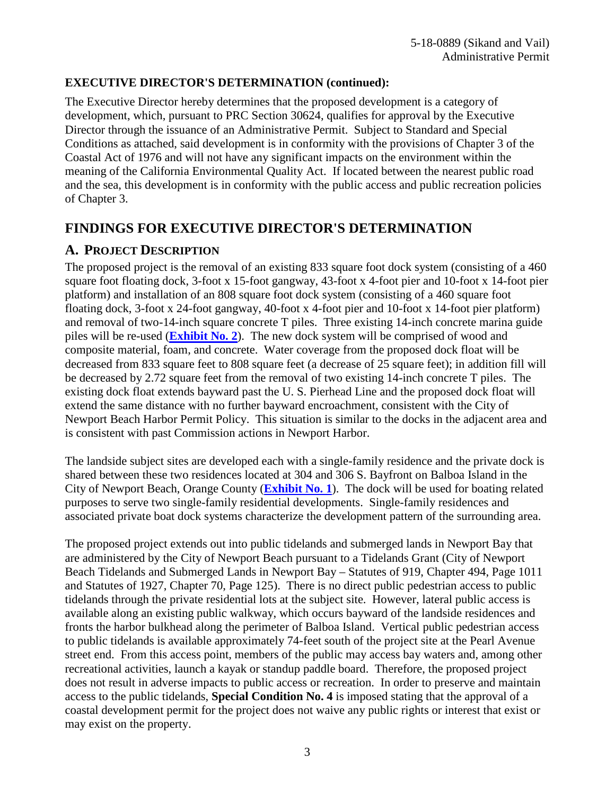### **EXECUTIVE DIRECTOR'S DETERMINATION (continued):**

The Executive Director hereby determines that the proposed development is a category of development, which, pursuant to PRC Section 30624, qualifies for approval by the Executive Director through the issuance of an Administrative Permit. Subject to Standard and Special Conditions as attached, said development is in conformity with the provisions of Chapter 3 of the Coastal Act of 1976 and will not have any significant impacts on the environment within the meaning of the California Environmental Quality Act. If located between the nearest public road and the sea, this development is in conformity with the public access and public recreation policies of Chapter 3.

## **FINDINGS FOR EXECUTIVE DIRECTOR'S DETERMINATION**

### **A. PROJECT DESCRIPTION**

The proposed project is the removal of an existing 833 square foot dock system (consisting of a 460 square foot floating dock, 3-foot x 15-foot gangway, 43-foot x 4-foot pier and 10-foot x 14-foot pier platform) and installation of an 808 square foot dock system (consisting of a 460 square foot floating dock, 3-foot x 24-foot gangway, 40-foot x 4-foot pier and 10-foot x 14-foot pier platform) and removal of two-14-inch square concrete T piles. Three existing 14-inch concrete marina guide piles will be re-used (**[Exhibit No. 2](https://documents.coastal.ca.gov/reports/2019/9/W7a/W7a-9-2019-exhibits.pdf)**). The new dock system will be comprised of wood and composite material, foam, and concrete. Water coverage from the proposed dock float will be decreased from 833 square feet to 808 square feet (a decrease of 25 square feet); in addition fill will be decreased by 2.72 square feet from the removal of two existing 14-inch concrete T piles. The existing dock float extends bayward past the U. S. Pierhead Line and the proposed dock float will extend the same distance with no further bayward encroachment, consistent with the City of Newport Beach Harbor Permit Policy. This situation is similar to the docks in the adjacent area and is consistent with past Commission actions in Newport Harbor.

The landside subject sites are developed each with a single-family residence and the private dock is shared between these two residences located at 304 and 306 S. Bayfront on Balboa Island in the City of Newport Beach, Orange County (**[Exhibit No. 1](https://documents.coastal.ca.gov/reports/2019/9/W7a/W7a-9-2019-exhibits.pdf)**). The dock will be used for boating related purposes to serve two single-family residential developments. Single-family residences and associated private boat dock systems characterize the development pattern of the surrounding area.

The proposed project extends out into public tidelands and submerged lands in Newport Bay that are administered by the City of Newport Beach pursuant to a Tidelands Grant (City of Newport Beach Tidelands and Submerged Lands in Newport Bay – Statutes of 919, Chapter 494, Page 1011 and Statutes of 1927, Chapter 70, Page 125). There is no direct public pedestrian access to public tidelands through the private residential lots at the subject site. However, lateral public access is available along an existing public walkway, which occurs bayward of the landside residences and fronts the harbor bulkhead along the perimeter of Balboa Island. Vertical public pedestrian access to public tidelands is available approximately 74-feet south of the project site at the Pearl Avenue street end. From this access point, members of the public may access bay waters and, among other recreational activities, launch a kayak or standup paddle board. Therefore, the proposed project does not result in adverse impacts to public access or recreation. In order to preserve and maintain access to the public tidelands, **Special Condition No. 4** is imposed stating that the approval of a coastal development permit for the project does not waive any public rights or interest that exist or may exist on the property.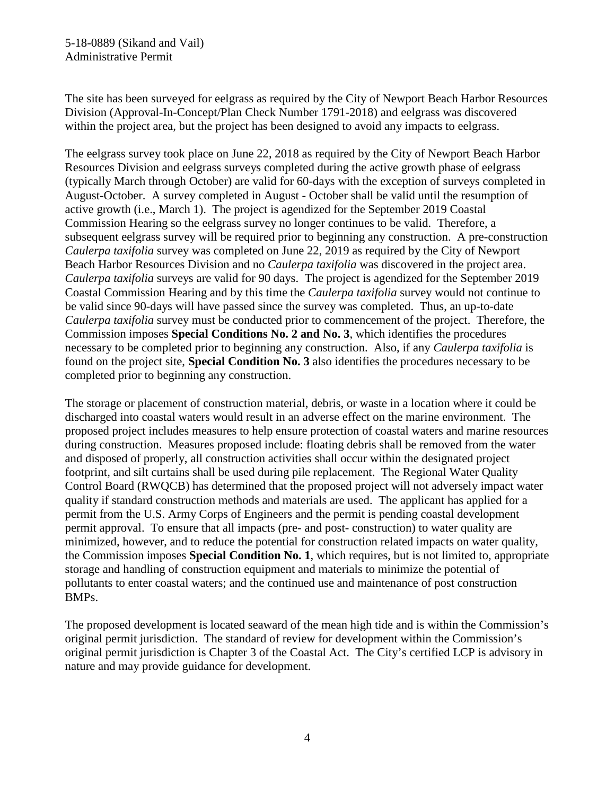The site has been surveyed for eelgrass as required by the City of Newport Beach Harbor Resources Division (Approval-In-Concept/Plan Check Number 1791-2018) and eelgrass was discovered within the project area, but the project has been designed to avoid any impacts to eelgrass.

The eelgrass survey took place on June 22, 2018 as required by the City of Newport Beach Harbor Resources Division and eelgrass surveys completed during the active growth phase of eelgrass (typically March through October) are valid for 60-days with the exception of surveys completed in August-October. A survey completed in August - October shall be valid until the resumption of active growth (i.e., March 1). The project is agendized for the September 2019 Coastal Commission Hearing so the eelgrass survey no longer continues to be valid. Therefore, a subsequent eelgrass survey will be required prior to beginning any construction. A pre-construction *Caulerpa taxifolia* survey was completed on June 22, 2019 as required by the City of Newport Beach Harbor Resources Division and no *Caulerpa taxifolia* was discovered in the project area. *Caulerpa taxifolia* surveys are valid for 90 days. The project is agendized for the September 2019 Coastal Commission Hearing and by this time the *Caulerpa taxifolia* survey would not continue to be valid since 90-days will have passed since the survey was completed. Thus, an up-to-date *Caulerpa taxifolia* survey must be conducted prior to commencement of the project. Therefore, the Commission imposes **Special Conditions No. 2 and No. 3**, which identifies the procedures necessary to be completed prior to beginning any construction. Also, if any *Caulerpa taxifolia* is found on the project site, **Special Condition No. 3** also identifies the procedures necessary to be completed prior to beginning any construction.

The storage or placement of construction material, debris, or waste in a location where it could be discharged into coastal waters would result in an adverse effect on the marine environment. The proposed project includes measures to help ensure protection of coastal waters and marine resources during construction. Measures proposed include: floating debris shall be removed from the water and disposed of properly, all construction activities shall occur within the designated project footprint, and silt curtains shall be used during pile replacement. The Regional Water Quality Control Board (RWQCB) has determined that the proposed project will not adversely impact water quality if standard construction methods and materials are used. The applicant has applied for a permit from the U.S. Army Corps of Engineers and the permit is pending coastal development permit approval. To ensure that all impacts (pre- and post- construction) to water quality are minimized, however, and to reduce the potential for construction related impacts on water quality, the Commission imposes **Special Condition No. 1**, which requires, but is not limited to, appropriate storage and handling of construction equipment and materials to minimize the potential of pollutants to enter coastal waters; and the continued use and maintenance of post construction BMPs.

The proposed development is located seaward of the mean high tide and is within the Commission's original permit jurisdiction. The standard of review for development within the Commission's original permit jurisdiction is Chapter 3 of the Coastal Act. The City's certified LCP is advisory in nature and may provide guidance for development.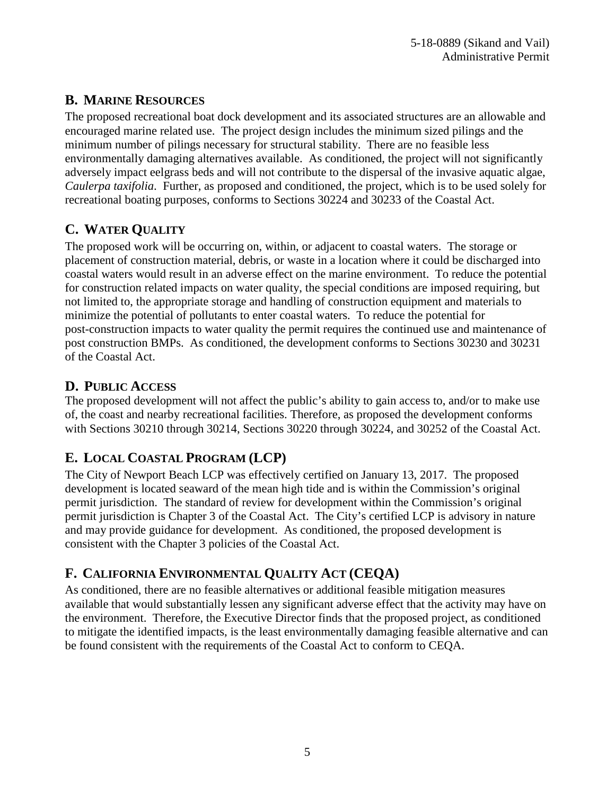## **B. MARINE RESOURCES**

The proposed recreational boat dock development and its associated structures are an allowable and encouraged marine related use. The project design includes the minimum sized pilings and the minimum number of pilings necessary for structural stability. There are no feasible less environmentally damaging alternatives available. As conditioned, the project will not significantly adversely impact eelgrass beds and will not contribute to the dispersal of the invasive aquatic algae, *Caulerpa taxifolia*. Further, as proposed and conditioned, the project, which is to be used solely for recreational boating purposes, conforms to Sections 30224 and 30233 of the Coastal Act.

# **C. WATER QUALITY**

The proposed work will be occurring on, within, or adjacent to coastal waters. The storage or placement of construction material, debris, or waste in a location where it could be discharged into coastal waters would result in an adverse effect on the marine environment. To reduce the potential for construction related impacts on water quality, the special conditions are imposed requiring, but not limited to, the appropriate storage and handling of construction equipment and materials to minimize the potential of pollutants to enter coastal waters. To reduce the potential for post-construction impacts to water quality the permit requires the continued use and maintenance of post construction BMPs. As conditioned, the development conforms to Sections 30230 and 30231 of the Coastal Act.

# **D. PUBLIC ACCESS**

The proposed development will not affect the public's ability to gain access to, and/or to make use of, the coast and nearby recreational facilities. Therefore, as proposed the development conforms with Sections 30210 through 30214, Sections 30220 through 30224, and 30252 of the Coastal Act.

# **E. LOCAL COASTAL PROGRAM (LCP)**

The City of Newport Beach LCP was effectively certified on January 13, 2017. The proposed development is located seaward of the mean high tide and is within the Commission's original permit jurisdiction. The standard of review for development within the Commission's original permit jurisdiction is Chapter 3 of the Coastal Act. The City's certified LCP is advisory in nature and may provide guidance for development. As conditioned, the proposed development is consistent with the Chapter 3 policies of the Coastal Act.

# **F. CALIFORNIA ENVIRONMENTAL QUALITY ACT (CEQA)**

As conditioned, there are no feasible alternatives or additional feasible mitigation measures available that would substantially lessen any significant adverse effect that the activity may have on the environment. Therefore, the Executive Director finds that the proposed project, as conditioned to mitigate the identified impacts, is the least environmentally damaging feasible alternative and can be found consistent with the requirements of the Coastal Act to conform to CEQA.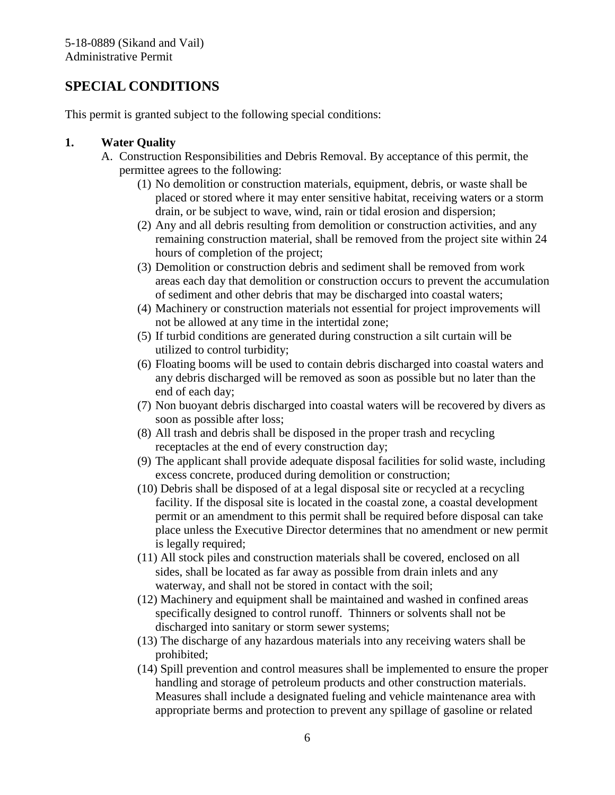## **SPECIAL CONDITIONS**

This permit is granted subject to the following special conditions:

#### **1. Water Quality**

- A. Construction Responsibilities and Debris Removal. By acceptance of this permit, the permittee agrees to the following:
	- (1) No demolition or construction materials, equipment, debris, or waste shall be placed or stored where it may enter sensitive habitat, receiving waters or a storm drain, or be subject to wave, wind, rain or tidal erosion and dispersion;
	- (2) Any and all debris resulting from demolition or construction activities, and any remaining construction material, shall be removed from the project site within 24 hours of completion of the project;
	- (3) Demolition or construction debris and sediment shall be removed from work areas each day that demolition or construction occurs to prevent the accumulation of sediment and other debris that may be discharged into coastal waters;
	- (4) Machinery or construction materials not essential for project improvements will not be allowed at any time in the intertidal zone;
	- (5) If turbid conditions are generated during construction a silt curtain will be utilized to control turbidity;
	- (6) Floating booms will be used to contain debris discharged into coastal waters and any debris discharged will be removed as soon as possible but no later than the end of each day;
	- (7) Non buoyant debris discharged into coastal waters will be recovered by divers as soon as possible after loss;
	- (8) All trash and debris shall be disposed in the proper trash and recycling receptacles at the end of every construction day;
	- (9) The applicant shall provide adequate disposal facilities for solid waste, including excess concrete, produced during demolition or construction;
	- (10) Debris shall be disposed of at a legal disposal site or recycled at a recycling facility. If the disposal site is located in the coastal zone, a coastal development permit or an amendment to this permit shall be required before disposal can take place unless the Executive Director determines that no amendment or new permit is legally required;
	- (11) All stock piles and construction materials shall be covered, enclosed on all sides, shall be located as far away as possible from drain inlets and any waterway, and shall not be stored in contact with the soil;
	- (12) Machinery and equipment shall be maintained and washed in confined areas specifically designed to control runoff. Thinners or solvents shall not be discharged into sanitary or storm sewer systems;
	- (13) The discharge of any hazardous materials into any receiving waters shall be prohibited;
	- (14) Spill prevention and control measures shall be implemented to ensure the proper handling and storage of petroleum products and other construction materials. Measures shall include a designated fueling and vehicle maintenance area with appropriate berms and protection to prevent any spillage of gasoline or related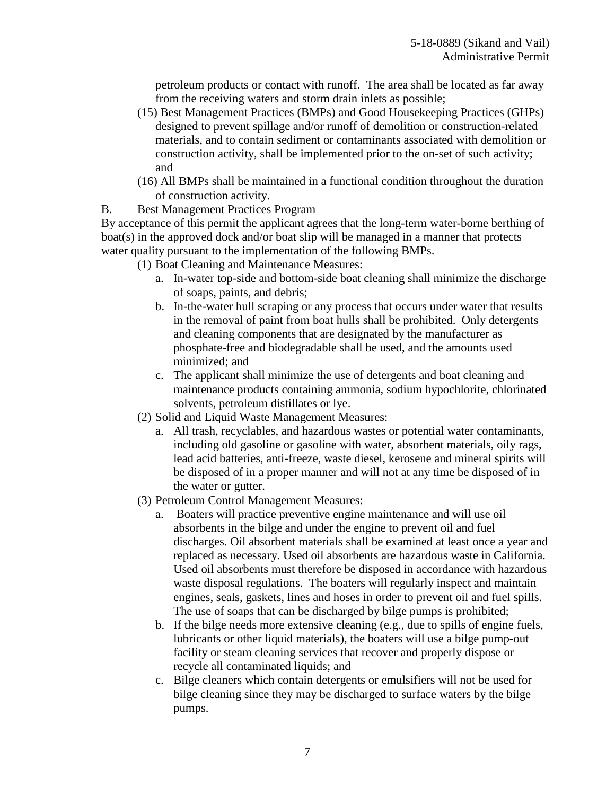petroleum products or contact with runoff. The area shall be located as far away from the receiving waters and storm drain inlets as possible;

- (15) Best Management Practices (BMPs) and Good Housekeeping Practices (GHPs) designed to prevent spillage and/or runoff of demolition or construction-related materials, and to contain sediment or contaminants associated with demolition or construction activity, shall be implemented prior to the on-set of such activity; and
- (16) All BMPs shall be maintained in a functional condition throughout the duration of construction activity.
- B. Best Management Practices Program

By acceptance of this permit the applicant agrees that the long-term water-borne berthing of boat(s) in the approved dock and/or boat slip will be managed in a manner that protects water quality pursuant to the implementation of the following BMPs.

- (1) Boat Cleaning and Maintenance Measures:
	- a. In-water top-side and bottom-side boat cleaning shall minimize the discharge of soaps, paints, and debris;
	- b. In-the-water hull scraping or any process that occurs under water that results in the removal of paint from boat hulls shall be prohibited. Only detergents and cleaning components that are designated by the manufacturer as phosphate-free and biodegradable shall be used, and the amounts used minimized; and
	- c. The applicant shall minimize the use of detergents and boat cleaning and maintenance products containing ammonia, sodium hypochlorite, chlorinated solvents, petroleum distillates or lye.
- (2) Solid and Liquid Waste Management Measures:
	- a. All trash, recyclables, and hazardous wastes or potential water contaminants, including old gasoline or gasoline with water, absorbent materials, oily rags, lead acid batteries, anti-freeze, waste diesel, kerosene and mineral spirits will be disposed of in a proper manner and will not at any time be disposed of in the water or gutter.
- (3) Petroleum Control Management Measures:
	- a. Boaters will practice preventive engine maintenance and will use oil absorbents in the bilge and under the engine to prevent oil and fuel discharges. Oil absorbent materials shall be examined at least once a year and replaced as necessary. Used oil absorbents are hazardous waste in California. Used oil absorbents must therefore be disposed in accordance with hazardous waste disposal regulations. The boaters will regularly inspect and maintain engines, seals, gaskets, lines and hoses in order to prevent oil and fuel spills. The use of soaps that can be discharged by bilge pumps is prohibited;
	- b. If the bilge needs more extensive cleaning (e.g., due to spills of engine fuels, lubricants or other liquid materials), the boaters will use a bilge pump-out facility or steam cleaning services that recover and properly dispose or recycle all contaminated liquids; and
	- c. Bilge cleaners which contain detergents or emulsifiers will not be used for bilge cleaning since they may be discharged to surface waters by the bilge pumps.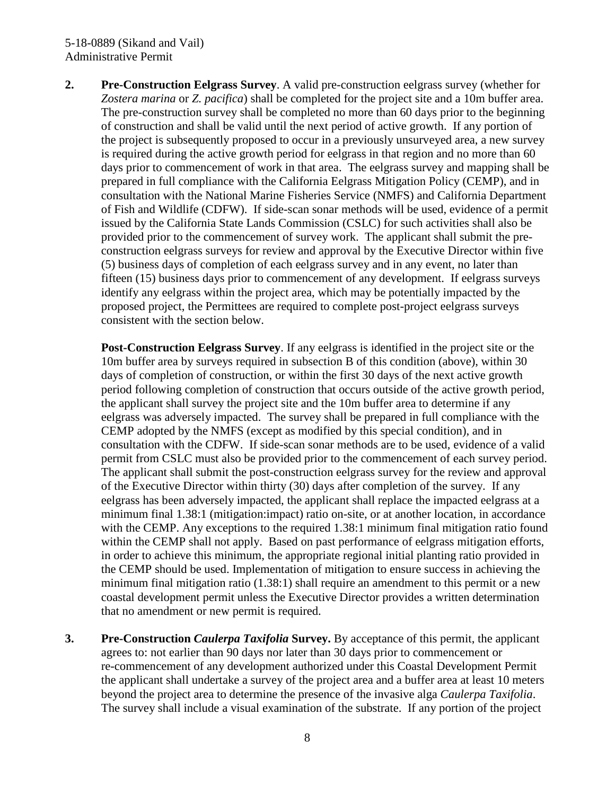#### 5-18-0889 (Sikand and Vail) Administrative Permit

**2. Pre-Construction Eelgrass Survey**. A valid pre-construction eelgrass survey (whether for *Zostera marina* or *Z. pacifica*) shall be completed for the project site and a 10m buffer area. The pre-construction survey shall be completed no more than 60 days prior to the beginning of construction and shall be valid until the next period of active growth. If any portion of the project is subsequently proposed to occur in a previously unsurveyed area, a new survey is required during the active growth period for eelgrass in that region and no more than 60 days prior to commencement of work in that area. The eelgrass survey and mapping shall be prepared in full compliance with the California Eelgrass Mitigation Policy (CEMP), and in consultation with the National Marine Fisheries Service (NMFS) and California Department of Fish and Wildlife (CDFW). If side-scan sonar methods will be used, evidence of a permit issued by the California State Lands Commission (CSLC) for such activities shall also be provided prior to the commencement of survey work. The applicant shall submit the preconstruction eelgrass surveys for review and approval by the Executive Director within five (5) business days of completion of each eelgrass survey and in any event, no later than fifteen (15) business days prior to commencement of any development. If eelgrass surveys identify any eelgrass within the project area, which may be potentially impacted by the proposed project, the Permittees are required to complete post-project eelgrass surveys consistent with the section below.

**Post-Construction Eelgrass Survey**. If any eelgrass is identified in the project site or the 10m buffer area by surveys required in subsection B of this condition (above), within 30 days of completion of construction, or within the first 30 days of the next active growth period following completion of construction that occurs outside of the active growth period, the applicant shall survey the project site and the 10m buffer area to determine if any eelgrass was adversely impacted. The survey shall be prepared in full compliance with the CEMP adopted by the NMFS (except as modified by this special condition), and in consultation with the CDFW. If side-scan sonar methods are to be used, evidence of a valid permit from CSLC must also be provided prior to the commencement of each survey period. The applicant shall submit the post-construction eelgrass survey for the review and approval of the Executive Director within thirty (30) days after completion of the survey. If any eelgrass has been adversely impacted, the applicant shall replace the impacted eelgrass at a minimum final 1.38:1 (mitigation:impact) ratio on-site, or at another location, in accordance with the CEMP. Any exceptions to the required 1.38:1 minimum final mitigation ratio found within the CEMP shall not apply. Based on past performance of eelgrass mitigation efforts, in order to achieve this minimum, the appropriate regional initial planting ratio provided in the CEMP should be used. Implementation of mitigation to ensure success in achieving the minimum final mitigation ratio (1.38:1) shall require an amendment to this permit or a new coastal development permit unless the Executive Director provides a written determination that no amendment or new permit is required.

**3. Pre-Construction** *Caulerpa Taxifolia* **Survey.** By acceptance of this permit, the applicant agrees to: not earlier than 90 days nor later than 30 days prior to commencement or re-commencement of any development authorized under this Coastal Development Permit the applicant shall undertake a survey of the project area and a buffer area at least 10 meters beyond the project area to determine the presence of the invasive alga *Caulerpa Taxifolia*. The survey shall include a visual examination of the substrate. If any portion of the project